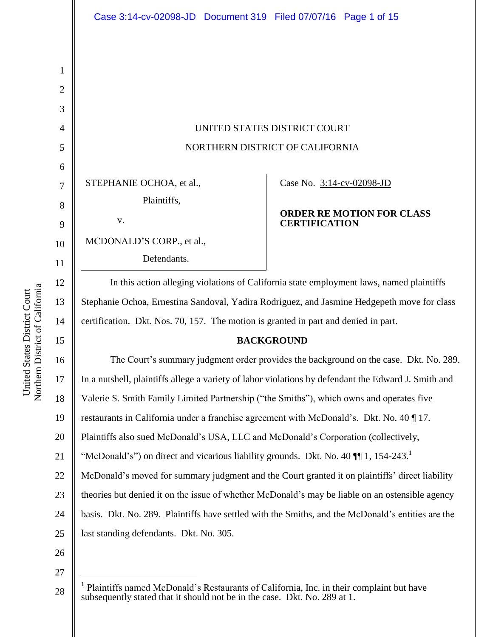| UNITED STATES DISTRICT COURT    |
|---------------------------------|
| NORTHERN DISTRICT OF CALIFORNIA |

STEPHANIE OCHOA, et al.,

| Plaintiffs, |
|-------------|
|             |

v.

MCDONALD'S CORP., et al.,

Defendants.

## Case No. [3:14-cv-02098-JD](https://ecf.cand.uscourts.gov/cgi-bin/DktRpt.pl?277172)

## **ORDER RE MOTION FOR CLASS CERTIFICATION**

In this action alleging violations of California state employment laws, named plaintiffs Stephanie Ochoa, Ernestina Sandoval, Yadira Rodriguez, and Jasmine Hedgepeth move for class certification. Dkt. Nos. 70, 157. The motion is granted in part and denied in part.

# **BACKGROUND**

16 17 18 19 20 21 22 23 24 25 The Court's summary judgment order provides the background on the case. Dkt. No. 289. In a nutshell, plaintiffs allege a variety of labor violations by defendant the Edward J. Smith and Valerie S. Smith Family Limited Partnership ("the Smiths"), which owns and operates five restaurants in California under a franchise agreement with McDonald's. Dkt. No. 40 ¶ 17. Plaintiffs also sued McDonald's USA, LLC and McDonald's Corporation (collectively, "McDonald's") on direct and vicarious liability grounds. Dkt. No. 40  $\P$ [1, 154-243.<sup>1</sup> McDonald's moved for summary judgment and the Court granted it on plaintiffs' direct liability theories but denied it on the issue of whether McDonald's may be liable on an ostensible agency basis. Dkt. No. 289. Plaintiffs have settled with the Smiths, and the McDonald's entities are the last standing defendants. Dkt. No. 305.

26

27

 $\overline{a}$ 

Northern District of California Northern District of California United States District Court United States District Court

1

2

3

4

5

6

7

8

9

10

11

12

13

14

<sup>28</sup> 1 Plaintiffs named McDonald's Restaurants of California, Inc. in their complaint but have subsequently stated that it should not be in the case. Dkt. No. 289 at 1.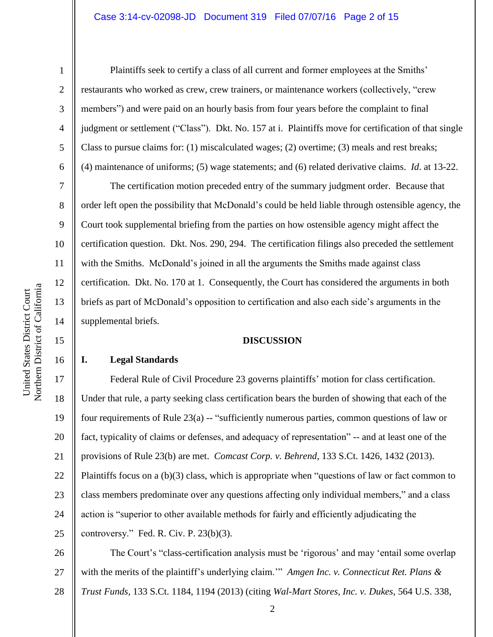### Case 3:14-cv-02098-JD Document 319 Filed 07/07/16 Page 2 of 15

1

2

3

4

5

6

7

8

9

10

11

12

13

14

15

16

Plaintiffs seek to certify a class of all current and former employees at the Smiths' restaurants who worked as crew, crew trainers, or maintenance workers (collectively, "crew members") and were paid on an hourly basis from four years before the complaint to final judgment or settlement ("Class"). Dkt. No. 157 at i. Plaintiffs move for certification of that single Class to pursue claims for: (1) miscalculated wages; (2) overtime; (3) meals and rest breaks; (4) maintenance of uniforms; (5) wage statements; and (6) related derivative claims. *Id*. at 13-22.

The certification motion preceded entry of the summary judgment order. Because that order left open the possibility that McDonald's could be held liable through ostensible agency, the Court took supplemental briefing from the parties on how ostensible agency might affect the certification question. Dkt. Nos. 290, 294. The certification filings also preceded the settlement with the Smiths. McDonald's joined in all the arguments the Smiths made against class certification. Dkt. No. 170 at 1. Consequently, the Court has considered the arguments in both briefs as part of McDonald's opposition to certification and also each side's arguments in the supplemental briefs.

### **DISCUSSION**

### **I. Legal Standards**

17 18 19 20 21 22 23 24 25 Federal Rule of Civil Procedure 23 governs plaintiffs' motion for class certification. Under that rule, a party seeking class certification bears the burden of showing that each of the four requirements of Rule 23(a) -- "sufficiently numerous parties, common questions of law or fact, typicality of claims or defenses, and adequacy of representation" -- and at least one of the provisions of Rule 23(b) are met. *Comcast Corp. v. Behrend*, 133 S.Ct. 1426, 1432 (2013). Plaintiffs focus on a (b)(3) class, which is appropriate when "questions of law or fact common to class members predominate over any questions affecting only individual members," and a class action is "superior to other available methods for fairly and efficiently adjudicating the controversy." Fed. R. Civ. P. 23(b)(3).

26 27 28 The Court's "class-certification analysis must be 'rigorous' and may 'entail some overlap with the merits of the plaintiff's underlying claim.'" *Amgen Inc. v. Connecticut Ret. Plans & Trust Funds*, 133 S.Ct. 1184, 1194 (2013) (citing *Wal-Mart Stores, Inc. v. Dukes*, 564 U.S. 338,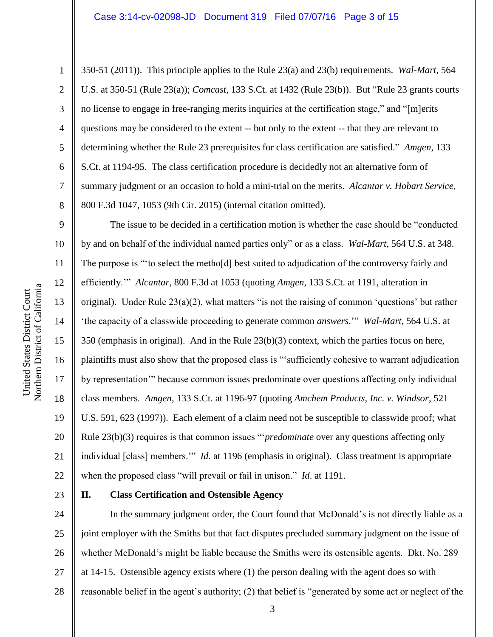1 2 3 4 5 6 7 8 350-51 (2011)). This principle applies to the Rule 23(a) and 23(b) requirements. *Wal-Mart*, 564 U.S. at 350-51 (Rule 23(a)); *Comcast*, 133 S.Ct. at 1432 (Rule 23(b)). But "Rule 23 grants courts no license to engage in free-ranging merits inquiries at the certification stage," and "[m]erits questions may be considered to the extent -- but only to the extent -- that they are relevant to determining whether the Rule 23 prerequisites for class certification are satisfied." *Amgen*, 133 S.Ct. at 1194-95. The class certification procedure is decidedly not an alternative form of summary judgment or an occasion to hold a mini-trial on the merits. *Alcantar v. Hobart Service*, 800 F.3d 1047, 1053 (9th Cir. 2015) (internal citation omitted).

9 10 11 12 13 14 15 16 17 18 19 20 21 22 The issue to be decided in a certification motion is whether the case should be "conducted by and on behalf of the individual named parties only" or as a class. *Wal-Mart*, 564 U.S. at 348. The purpose is "'to select the metho[d] best suited to adjudication of the controversy fairly and efficiently.'" *Alcantar*, 800 F.3d at 1053 (quoting *Amgen*, 133 S.Ct. at 1191, alteration in original). Under Rule  $23(a)(2)$ , what matters "is not the raising of common 'questions' but rather 'the capacity of a classwide proceeding to generate common *answers*.'" *Wal-Mart*, 564 U.S. at 350 (emphasis in original). And in the Rule 23(b)(3) context, which the parties focus on here, plaintiffs must also show that the proposed class is "'sufficiently cohesive to warrant adjudication by representation'" because common issues predominate over questions affecting only individual class members. *Amgen*, 133 S.Ct. at 1196-97 (quoting *Amchem Products, Inc. v. Windsor*, 521 U.S. 591, 623 (1997)). Each element of a claim need not be susceptible to classwide proof; what Rule 23(b)(3) requires is that common issues "'*predominate* over any questions affecting only individual [class] members.'" *Id*. at 1196 (emphasis in original). Class treatment is appropriate when the proposed class "will prevail or fail in unison." *Id*. at 1191.

23

## **II. Class Certification and Ostensible Agency**

24 25 26 27 28 In the summary judgment order, the Court found that McDonald's is not directly liable as a joint employer with the Smiths but that fact disputes precluded summary judgment on the issue of whether McDonald's might be liable because the Smiths were its ostensible agents. Dkt. No. 289 at 14-15. Ostensible agency exists where (1) the person dealing with the agent does so with reasonable belief in the agent's authority; (2) that belief is "generated by some act or neglect of the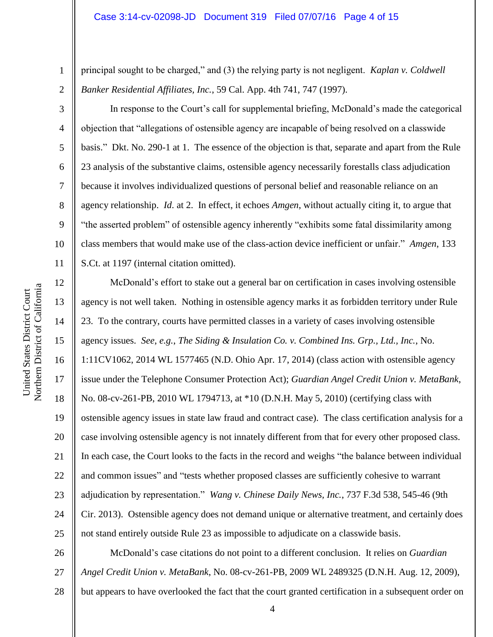### Case 3:14-cv-02098-JD Document 319 Filed 07/07/16 Page 4 of 15

2 3

4

5

6

7

8

9

10

11

12

13

14

15

17

18

19

21

23

25

1

principal sought to be charged," and (3) the relying party is not negligent. *Kaplan v. Coldwell Banker Residential Affiliates, Inc.*, 59 Cal. App. 4th 741, 747 (1997).

In response to the Court's call for supplemental briefing, McDonald's made the categorical objection that "allegations of ostensible agency are incapable of being resolved on a classwide basis." Dkt. No. 290-1 at 1. The essence of the objection is that, separate and apart from the Rule 23 analysis of the substantive claims, ostensible agency necessarily forestalls class adjudication because it involves individualized questions of personal belief and reasonable reliance on an agency relationship. *Id*. at 2. In effect, it echoes *Amgen*, without actually citing it, to argue that "the asserted problem" of ostensible agency inherently "exhibits some fatal dissimilarity among class members that would make use of the class-action device inefficient or unfair." *Amgen*, 133 S.Ct. at 1197 (internal citation omitted).

16 20 22 24 McDonald's effort to stake out a general bar on certification in cases involving ostensible agency is not well taken. Nothing in ostensible agency marks it as forbidden territory under Rule 23. To the contrary, courts have permitted classes in a variety of cases involving ostensible agency issues. *See*, *e.g.*, *The Siding & Insulation Co. v. Combined Ins. Grp., Ltd., Inc.*, No. 1:11CV1062, 2014 WL 1577465 (N.D. Ohio Apr. 17, 2014) (class action with ostensible agency issue under the Telephone Consumer Protection Act); *Guardian Angel Credit Union v. MetaBank*, No. 08-cv-261-PB, 2010 WL 1794713, at \*10 (D.N.H. May 5, 2010) (certifying class with ostensible agency issues in state law fraud and contract case). The class certification analysis for a case involving ostensible agency is not innately different from that for every other proposed class. In each case, the Court looks to the facts in the record and weighs "the balance between individual and common issues" and "tests whether proposed classes are sufficiently cohesive to warrant adjudication by representation." *Wang v. Chinese Daily News, Inc.*, 737 F.3d 538, 545-46 (9th Cir. 2013). Ostensible agency does not demand unique or alternative treatment, and certainly does not stand entirely outside Rule 23 as impossible to adjudicate on a classwide basis.

26 27 28 McDonald's case citations do not point to a different conclusion. It relies on *Guardian Angel Credit Union v. MetaBank*, No. 08-cv-261-PB, 2009 WL 2489325 (D.N.H. Aug. 12, 2009), but appears to have overlooked the fact that the court granted certification in a subsequent order on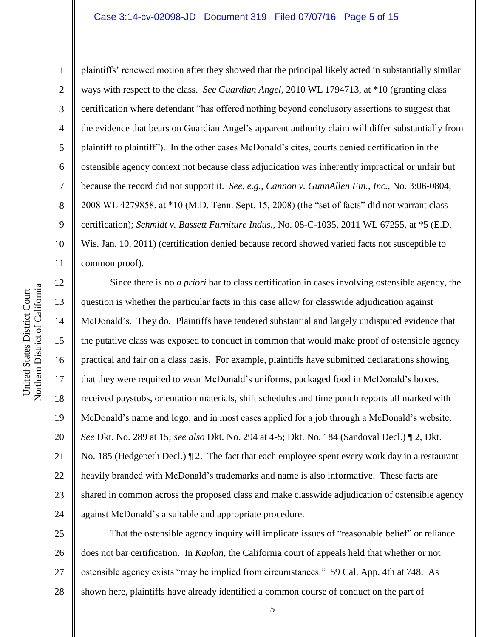### Case 3:14-cv-02098-JD Document 319 Filed 07/07/16 Page 5 of 15

10 11

1

2

3

5

8

9

12

13

14

15

17

18

19

21

23

4 6 7 plaintiffs' renewed motion after they showed that the principal likely acted in substantially similar ways with respect to the class. *See Guardian Angel*, 2010 WL 1794713, at \*10 (granting class certification where defendant "has offered nothing beyond conclusory assertions to suggest that the evidence that bears on Guardian Angel's apparent authority claim will differ substantially from plaintiff to plaintiff"). In the other cases McDonald's cites, courts denied certification in the ostensible agency context not because class adjudication was inherently impractical or unfair but because the record did not support it. *See*, *e.g.*, *Cannon v. GunnAllen Fin., Inc.*, No. 3:06-0804, 2008 WL 4279858, at \*10 (M.D. Tenn. Sept. 15, 2008) (the "set of facts" did not warrant class certification); *Schmidt v. Bassett Furniture Indus.*, No. 08-C-1035, 2011 WL 67255, at \*5 (E.D. Wis. Jan. 10, 2011) (certification denied because record showed varied facts not susceptible to common proof).

16 20 22 24 Since there is no *a priori* bar to class certification in cases involving ostensible agency, the question is whether the particular facts in this case allow for classwide adjudication against McDonald's. They do. Plaintiffs have tendered substantial and largely undisputed evidence that the putative class was exposed to conduct in common that would make proof of ostensible agency practical and fair on a class basis. For example, plaintiffs have submitted declarations showing that they were required to wear McDonald's uniforms, packaged food in McDonald's boxes, received paystubs, orientation materials, shift schedules and time punch reports all marked with McDonald's name and logo, and in most cases applied for a job through a McDonald's website. *See* Dkt. No. 289 at 15; *see also* Dkt. No. 294 at 4-5; Dkt. No. 184 (Sandoval Decl.) ¶ 2, Dkt. No. 185 (Hedgepeth Decl.) 1 2. The fact that each employee spent every work day in a restaurant heavily branded with McDonald's trademarks and name is also informative. These facts are shared in common across the proposed class and make classwide adjudication of ostensible agency against McDonald's a suitable and appropriate procedure.

25 26 27 28 That the ostensible agency inquiry will implicate issues of "reasonable belief" or reliance does not bar certification. In *Kaplan*, the California court of appeals held that whether or not ostensible agency exists "may be implied from circumstances." 59 Cal. App. 4th at 748. As shown here, plaintiffs have already identified a common course of conduct on the part of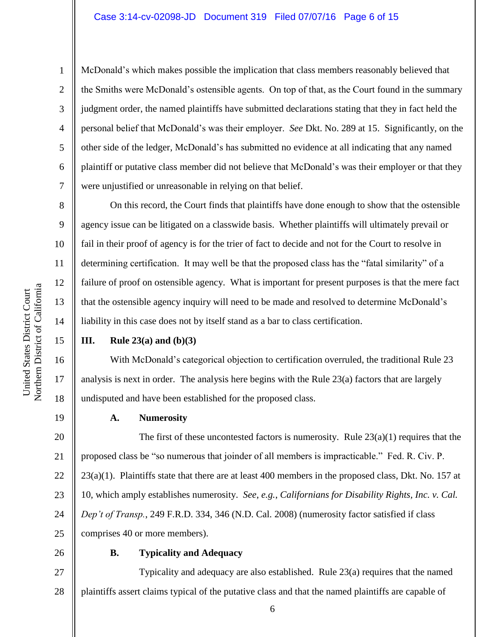McDonald's which makes possible the implication that class members reasonably believed that the Smiths were McDonald's ostensible agents. On top of that, as the Court found in the summary judgment order, the named plaintiffs have submitted declarations stating that they in fact held the personal belief that McDonald's was their employer. *See* Dkt. No. 289 at 15. Significantly, on the other side of the ledger, McDonald's has submitted no evidence at all indicating that any named plaintiff or putative class member did not believe that McDonald's was their employer or that they were unjustified or unreasonable in relying on that belief.

On this record, the Court finds that plaintiffs have done enough to show that the ostensible agency issue can be litigated on a classwide basis. Whether plaintiffs will ultimately prevail or fail in their proof of agency is for the trier of fact to decide and not for the Court to resolve in determining certification. It may well be that the proposed class has the "fatal similarity" of a failure of proof on ostensible agency. What is important for present purposes is that the mere fact that the ostensible agency inquiry will need to be made and resolved to determine McDonald's liability in this case does not by itself stand as a bar to class certification.

# **III. Rule 23(a) and (b)(3)**

With McDonald's categorical objection to certification overruled, the traditional Rule 23 analysis is next in order. The analysis here begins with the Rule 23(a) factors that are largely undisputed and have been established for the proposed class.

## **A. Numerosity**

20 21 22 23 24 25 The first of these uncontested factors is numerosity. Rule  $23(a)(1)$  requires that the proposed class be "so numerous that joinder of all members is impracticable." Fed. R. Civ. P.  $23(a)(1)$ . Plaintiffs state that there are at least 400 members in the proposed class, Dkt. No. 157 at 10, which amply establishes numerosity. *See*, *e.g.*, *Californians for Disability Rights, Inc. v. Cal. Dep't of Transp.*, 249 F.R.D. 334, 346 (N.D. Cal. 2008) (numerosity factor satisfied if class comprises 40 or more members).

26

# **B. Typicality and Adequacy**

27 28 Typicality and adequacy are also established. Rule 23(a) requires that the named plaintiffs assert claims typical of the putative class and that the named plaintiffs are capable of

1

2

3

4

5

6

7

8

9

10

11

12

13

14

15

16

17

18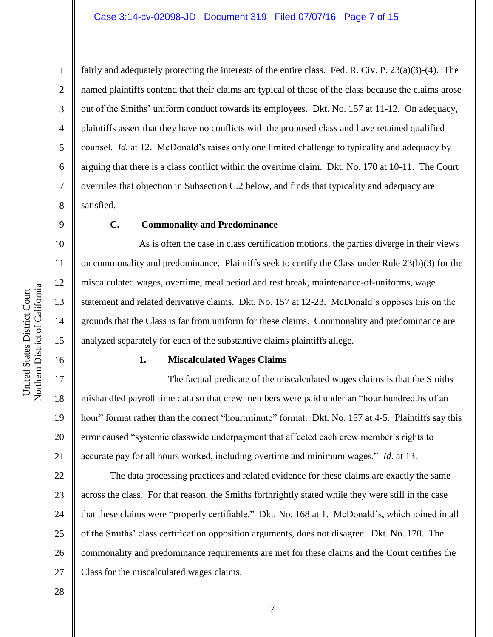1

fairly and adequately protecting the interests of the entire class. Fed. R. Civ. P. 23(a)(3)-(4). The named plaintiffs contend that their claims are typical of those of the class because the claims arose out of the Smiths' uniform conduct towards its employees. Dkt. No. 157 at 11-12. On adequacy, plaintiffs assert that they have no conflicts with the proposed class and have retained qualified counsel. *Id.* at 12. McDonald's raises only one limited challenge to typicality and adequacy by arguing that there is a class conflict within the overtime claim. Dkt. No. 170 at 10-11. The Court overrules that objection in Subsection C.2 below, and finds that typicality and adequacy are satisfied.

9

10

11

12

13

14

15

16

17

18

19

20

21

## **C. Commonality and Predominance**

As is often the case in class certification motions, the parties diverge in their views on commonality and predominance. Plaintiffs seek to certify the Class under Rule 23(b)(3) for the miscalculated wages, overtime, meal period and rest break, maintenance-of-uniforms, wage statement and related derivative claims. Dkt. No. 157 at 12-23. McDonald's opposes this on the grounds that the Class is far from uniform for these claims. Commonality and predominance are analyzed separately for each of the substantive claims plaintiffs allege.

# **1. Miscalculated Wages Claims**

The factual predicate of the miscalculated wages claims is that the Smiths mishandled payroll time data so that crew members were paid under an "hour.hundredths of an hour" format rather than the correct "hour:minute" format. Dkt. No. 157 at 4-5. Plaintiffs say this error caused "systemic classwide underpayment that affected each crew member's rights to accurate pay for all hours worked, including overtime and minimum wages." *Id*. at 13.

22 23 24 25 26 27 The data processing practices and related evidence for these claims are exactly the same across the class. For that reason, the Smiths forthrightly stated while they were still in the case that these claims were "properly certifiable." Dkt. No. 168 at 1. McDonald's, which joined in all of the Smiths' class certification opposition arguments, does not disagree. Dkt. No. 170. The commonality and predominance requirements are met for these claims and the Court certifies the Class for the miscalculated wages claims.

Northern District of California Northern District of California United States District Court United States District Court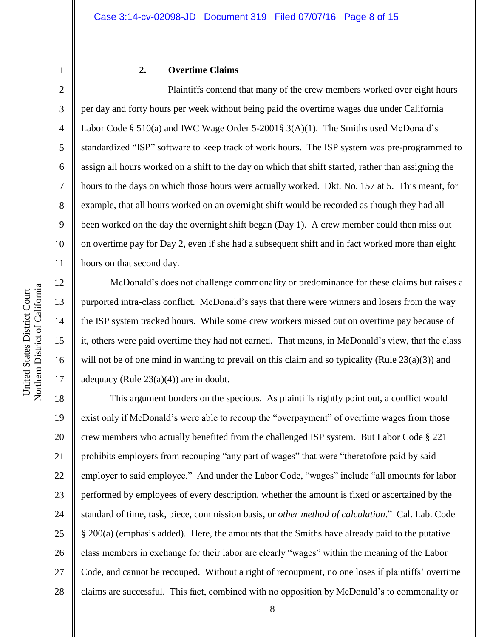5

6

7

8

9

10

11

12

13

14

15

16

17

1

### **2. Overtime Claims**

Plaintiffs contend that many of the crew members worked over eight hours per day and forty hours per week without being paid the overtime wages due under California Labor Code § 510(a) and IWC Wage Order 5-2001§ 3(A)(1). The Smiths used McDonald's standardized "ISP" software to keep track of work hours. The ISP system was pre-programmed to assign all hours worked on a shift to the day on which that shift started, rather than assigning the hours to the days on which those hours were actually worked. Dkt. No. 157 at 5. This meant, for example, that all hours worked on an overnight shift would be recorded as though they had all been worked on the day the overnight shift began (Day 1). A crew member could then miss out on overtime pay for Day 2, even if she had a subsequent shift and in fact worked more than eight hours on that second day.

McDonald's does not challenge commonality or predominance for these claims but raises a purported intra-class conflict. McDonald's says that there were winners and losers from the way the ISP system tracked hours. While some crew workers missed out on overtime pay because of it, others were paid overtime they had not earned. That means, in McDonald's view, that the class will not be of one mind in wanting to prevail on this claim and so typicality (Rule 23(a)(3)) and adequacy (Rule  $23(a)(4)$ ) are in doubt.

18 19 20 21 22 23 24 25 26 27 28 This argument borders on the specious. As plaintiffs rightly point out, a conflict would exist only if McDonald's were able to recoup the "overpayment" of overtime wages from those crew members who actually benefited from the challenged ISP system. But Labor Code § 221 prohibits employers from recouping "any part of wages" that were "theretofore paid by said employer to said employee." And under the Labor Code, "wages" include "all amounts for labor performed by employees of every description, whether the amount is fixed or ascertained by the standard of time, task, piece, commission basis, or *other method of calculation*." Cal. Lab. Code § 200(a) (emphasis added). Here, the amounts that the Smiths have already paid to the putative class members in exchange for their labor are clearly "wages" within the meaning of the Labor Code, and cannot be recouped. Without a right of recoupment, no one loses if plaintiffs' overtime claims are successful. This fact, combined with no opposition by McDonald's to commonality or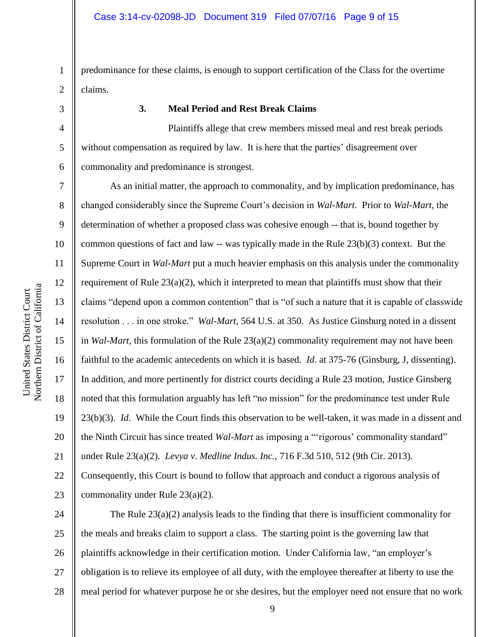1 2 predominance for these claims, is enough to support certification of the Class for the overtime claims.

3

4

5

6

7

8

9

10

11

12

13

14

15

16

17

18

19

20

21

### **3. Meal Period and Rest Break Claims**

Plaintiffs allege that crew members missed meal and rest break periods without compensation as required by law. It is here that the parties' disagreement over commonality and predominance is strongest.

As an initial matter, the approach to commonality, and by implication predominance, has changed considerably since the Supreme Court's decision in *Wal-Mart*. Prior to *Wal-Mart*, the determination of whether a proposed class was cohesive enough -- that is, bound together by common questions of fact and law  $-$  was typically made in the Rule 23(b)(3) context. But the Supreme Court in *Wal-Mart* put a much heavier emphasis on this analysis under the commonality requirement of Rule 23(a)(2), which it interpreted to mean that plaintiffs must show that their claims "depend upon a common contention" that is "of such a nature that it is capable of classwide resolution . . . in one stroke." *Wal-Mart*, 564 U.S. at 350. As Justice Ginsburg noted in a dissent in *Wal-Mart*, this formulation of the Rule 23(a)(2) commonality requirement may not have been faithful to the academic antecedents on which it is based. *Id*. at 375-76 (Ginsburg, J, dissenting). In addition, and more pertinently for district courts deciding a Rule 23 motion, Justice Ginsberg noted that this formulation arguably has left "no mission" for the predominance test under Rule 23(b)(3). *Id*. While the Court finds this observation to be well-taken, it was made in a dissent and the Ninth Circuit has since treated *Wal-Mart* as imposing a "'rigorous' commonality standard" under Rule 23(a)(2). *Levya v. Medline Indus. Inc.*, 716 F.3d 510, 512 (9th Cir. 2013).

22 23 Consequently, this Court is bound to follow that approach and conduct a rigorous analysis of commonality under Rule 23(a)(2).

24 25 26 27 28 The Rule  $23(a)(2)$  analysis leads to the finding that there is insufficient commonality for the meals and breaks claim to support a class. The starting point is the governing law that plaintiffs acknowledge in their certification motion. Under California law, "an employer's obligation is to relieve its employee of all duty, with the employee thereafter at liberty to use the meal period for whatever purpose he or she desires, but the employer need not ensure that no work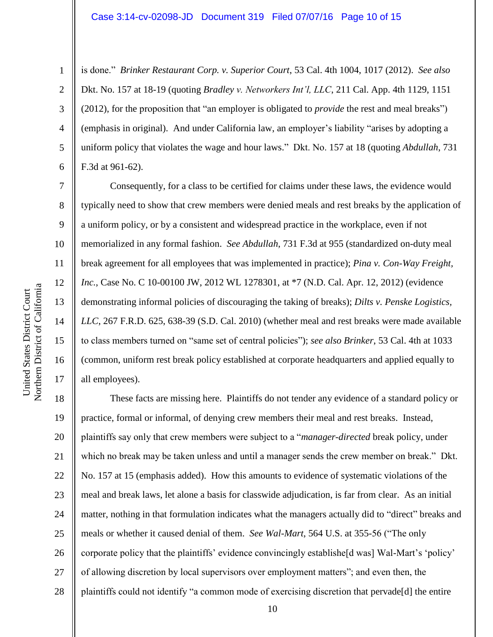is done." *Brinker Restaurant Corp. v. Superior Court*, 53 Cal. 4th 1004, 1017 (2012). *See also* Dkt. No. 157 at 18-19 (quoting *Bradley v. Networkers Int'l, LLC*, 211 Cal. App. 4th 1129, 1151 (2012), for the proposition that "an employer is obligated to *provide* the rest and meal breaks") (emphasis in original). And under California law, an employer's liability "arises by adopting a uniform policy that violates the wage and hour laws." Dkt. No. 157 at 18 (quoting *Abdullah*, 731 F.3d at 961-62).

Consequently, for a class to be certified for claims under these laws, the evidence would typically need to show that crew members were denied meals and rest breaks by the application of a uniform policy, or by a consistent and widespread practice in the workplace, even if not memorialized in any formal fashion. *See Abdullah*, 731 F.3d at 955 (standardized on-duty meal break agreement for all employees that was implemented in practice); *Pina v. Con-Way Freight, Inc.*, Case No. C 10-00100 JW, 2012 WL 1278301, at \*7 (N.D. Cal. Apr. 12, 2012) (evidence demonstrating informal policies of discouraging the taking of breaks); *Dilts v. Penske Logistics, LLC*, 267 F.R.D. 625, 638-39 (S.D. Cal. 2010) (whether meal and rest breaks were made available to class members turned on "same set of central policies"); *see also Brinker*, 53 Cal. 4th at 1033 (common, uniform rest break policy established at corporate headquarters and applied equally to all employees).

18 19 20 21 22 23 24 25 26 27 28 These facts are missing here. Plaintiffs do not tender any evidence of a standard policy or practice, formal or informal, of denying crew members their meal and rest breaks. Instead, plaintiffs say only that crew members were subject to a "*manager-directed* break policy, under which no break may be taken unless and until a manager sends the crew member on break." Dkt. No. 157 at 15 (emphasis added). How this amounts to evidence of systematic violations of the meal and break laws, let alone a basis for classwide adjudication, is far from clear. As an initial matter, nothing in that formulation indicates what the managers actually did to "direct" breaks and meals or whether it caused denial of them. *See Wal-Mart*, 564 U.S. at 355-56 ("The only corporate policy that the plaintiffs' evidence convincingly establishe[d was] Wal-Mart's 'policy' of allowing discretion by local supervisors over employment matters"; and even then, the plaintiffs could not identify "a common mode of exercising discretion that pervade[d] the entire

1

2

3

4

5

6

7

8

9

10

11

12

13

14

15

16

17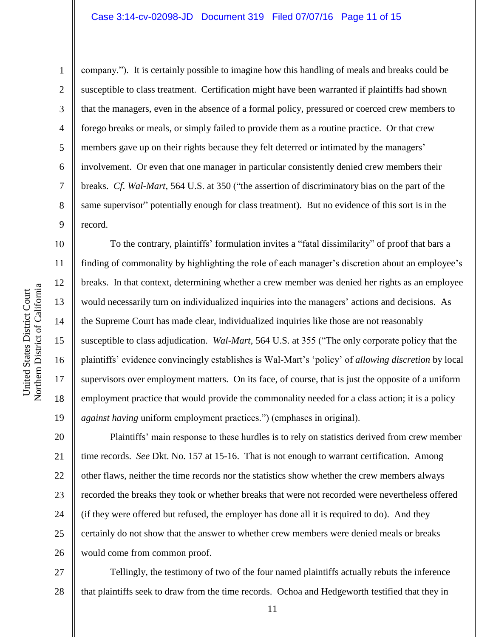company."). It is certainly possible to imagine how this handling of meals and breaks could be susceptible to class treatment. Certification might have been warranted if plaintiffs had shown that the managers, even in the absence of a formal policy, pressured or coerced crew members to forego breaks or meals, or simply failed to provide them as a routine practice. Or that crew members gave up on their rights because they felt deterred or intimated by the managers' involvement. Or even that one manager in particular consistently denied crew members their breaks. *Cf*. *Wal-Mart*, 564 U.S. at 350 ("the assertion of discriminatory bias on the part of the same supervisor" potentially enough for class treatment). But no evidence of this sort is in the record.

To the contrary, plaintiffs' formulation invites a "fatal dissimilarity" of proof that bars a finding of commonality by highlighting the role of each manager's discretion about an employee's breaks. In that context, determining whether a crew member was denied her rights as an employee would necessarily turn on individualized inquiries into the managers' actions and decisions. As the Supreme Court has made clear, individualized inquiries like those are not reasonably susceptible to class adjudication. *Wal-Mart*, 564 U.S. at 355 ("The only corporate policy that the plaintiffs' evidence convincingly establishes is Wal-Mart's 'policy' of *allowing discretion* by local supervisors over employment matters. On its face, of course, that is just the opposite of a uniform employment practice that would provide the commonality needed for a class action; it is a policy *against having* uniform employment practices.") (emphases in original).

20 21 22 23 24 25 26 Plaintiffs' main response to these hurdles is to rely on statistics derived from crew member time records. *See* Dkt. No. 157 at 15-16. That is not enough to warrant certification. Among other flaws, neither the time records nor the statistics show whether the crew members always recorded the breaks they took or whether breaks that were not recorded were nevertheless offered (if they were offered but refused, the employer has done all it is required to do). And they certainly do not show that the answer to whether crew members were denied meals or breaks would come from common proof.

27 28 Tellingly, the testimony of two of the four named plaintiffs actually rebuts the inference that plaintiffs seek to draw from the time records. Ochoa and Hedgeworth testified that they in

1

2

3

4

5

6

7

8

9

10

11

12

13

14

15

16

17

18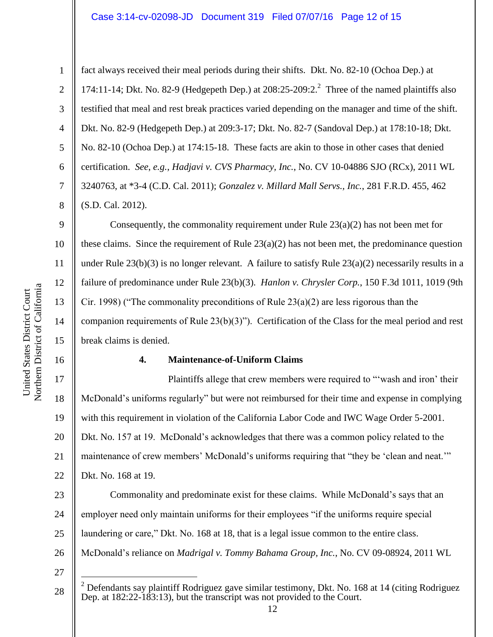5

6

7

8

1

fact always received their meal periods during their shifts. Dkt. No. 82-10 (Ochoa Dep.) at 174:11-14; Dkt. No. 82-9 (Hedgepeth Dep.) at  $208:25-209:2.^2$  Three of the named plaintiffs also testified that meal and rest break practices varied depending on the manager and time of the shift. Dkt. No. 82-9 (Hedgepeth Dep.) at 209:3-17; Dkt. No. 82-7 (Sandoval Dep.) at 178:10-18; Dkt. No. 82-10 (Ochoa Dep.) at 174:15-18. These facts are akin to those in other cases that denied certification. *See*, *e.g.*, *Hadjavi v. CVS Pharmacy, Inc.*, No. CV 10-04886 SJO (RCx), 2011 WL 3240763, at \*3-4 (C.D. Cal. 2011); *Gonzalez v. Millard Mall Servs., Inc.*, 281 F.R.D. 455, 462 (S.D. Cal. 2012).

16

9 10 11 12 13 14 15 Consequently, the commonality requirement under Rule  $23(a)(2)$  has not been met for these claims. Since the requirement of Rule  $23(a)(2)$  has not been met, the predominance question under Rule 23(b)(3) is no longer relevant. A failure to satisfy Rule 23(a)(2) necessarily results in a failure of predominance under Rule 23(b)(3). *Hanlon v. Chrysler Corp.*, 150 F.3d 1011, 1019 (9th Cir. 1998) ("The commonality preconditions of Rule  $23(a)(2)$  are less rigorous than the companion requirements of Rule 23(b)(3)"). Certification of the Class for the meal period and rest break claims is denied.

### **4. Maintenance-of-Uniform Claims**

17 18 19 20 21 22 Plaintiffs allege that crew members were required to "'wash and iron' their McDonald's uniforms regularly" but were not reimbursed for their time and expense in complying with this requirement in violation of the California Labor Code and IWC Wage Order 5-2001. Dkt. No. 157 at 19. McDonald's acknowledges that there was a common policy related to the maintenance of crew members' McDonald's uniforms requiring that "they be 'clean and neat.'" Dkt. No. 168 at 19.

23 24 25 26 Commonality and predominate exist for these claims. While McDonald's says that an employer need only maintain uniforms for their employees "if the uniforms require special laundering or care," Dkt. No. 168 at 18, that is a legal issue common to the entire class. McDonald's reliance on *Madrigal v. Tommy Bahama Group, Inc.*, No. CV 09-08924, 2011 WL

27

 $\overline{a}$ 

<sup>28</sup>  $2$  Defendants say plaintiff Rodriguez gave similar testimony, Dkt. No. 168 at 14 (citing Rodriguez Dep. at 182:22-183:13), but the transcript was not provided to the Court.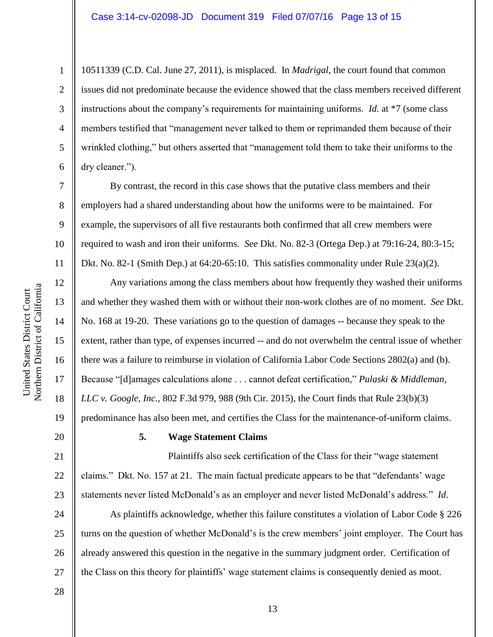10511339 (C.D. Cal. June 27, 2011), is misplaced. In *Madrigal*, the court found that common issues did not predominate because the evidence showed that the class members received different instructions about the company's requirements for maintaining uniforms. *Id.* at \*7 (some class members testified that "management never talked to them or reprimanded them because of their wrinkled clothing," but others asserted that "management told them to take their uniforms to the dry cleaner.").

By contrast, the record in this case shows that the putative class members and their employers had a shared understanding about how the uniforms were to be maintained. For example, the supervisors of all five restaurants both confirmed that all crew members were required to wash and iron their uniforms. *See* Dkt. No. 82-3 (Ortega Dep.) at 79:16-24, 80:3-15; Dkt. No. 82-1 (Smith Dep.) at 64:20-65:10. This satisfies commonality under Rule 23(a)(2).

Any variations among the class members about how frequently they washed their uniforms and whether they washed them with or without their non-work clothes are of no moment. *See* Dkt. No. 168 at 19-20. These variations go to the question of damages -- because they speak to the extent, rather than type, of expenses incurred -- and do not overwhelm the central issue of whether there was a failure to reimburse in violation of California Labor Code Sections 2802(a) and (b). Because "[d]amages calculations alone . . . cannot defeat certification," *Pulaski & Middleman, LLC v. Google, Inc.*, 802 F.3d 979, 988 (9th Cir. 2015), the Court finds that Rule 23(b)(3) predominance has also been met, and certifies the Class for the maintenance-of-uniform claims.

## 20

1

2

3

4

5

6

7

8

9

10

11

12

13

14

15

16

17

18

19

21

22

23

# **5. Wage Statement Claims**

Plaintiffs also seek certification of the Class for their "wage statement claims." Dkt. No. 157 at 21. The main factual predicate appears to be that "defendants' wage statements never listed McDonald's as an employer and never listed McDonald's address." *Id*.

24 25 26 27 As plaintiffs acknowledge, whether this failure constitutes a violation of Labor Code § 226 turns on the question of whether McDonald's is the crew members' joint employer. The Court has already answered this question in the negative in the summary judgment order. Certification of the Class on this theory for plaintiffs' wage statement claims is consequently denied as moot.

Northern District of California Northern District of California United States District Court United States District Court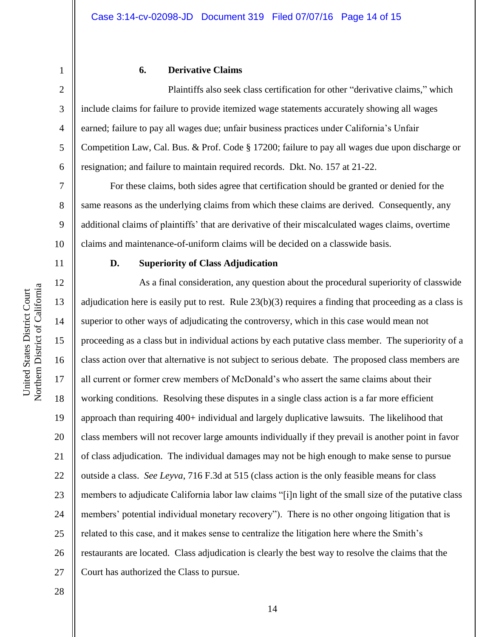7

8

9

10

12

13

14

15

16

17

18

19

20

21

22

23

24

25

26

27

1

### **6. Derivative Claims**

Plaintiffs also seek class certification for other "derivative claims," which include claims for failure to provide itemized wage statements accurately showing all wages earned; failure to pay all wages due; unfair business practices under California's Unfair Competition Law, Cal. Bus. & Prof. Code § 17200; failure to pay all wages due upon discharge or resignation; and failure to maintain required records. Dkt. No. 157 at 21-22.

For these claims, both sides agree that certification should be granted or denied for the same reasons as the underlying claims from which these claims are derived. Consequently, any additional claims of plaintiffs' that are derivative of their miscalculated wages claims, overtime claims and maintenance-of-uniform claims will be decided on a classwide basis.

11

### **D. Superiority of Class Adjudication**

As a final consideration, any question about the procedural superiority of classwide adjudication here is easily put to rest. Rule 23(b)(3) requires a finding that proceeding as a class is superior to other ways of adjudicating the controversy, which in this case would mean not proceeding as a class but in individual actions by each putative class member. The superiority of a class action over that alternative is not subject to serious debate. The proposed class members are all current or former crew members of McDonald's who assert the same claims about their working conditions. Resolving these disputes in a single class action is a far more efficient approach than requiring 400+ individual and largely duplicative lawsuits. The likelihood that class members will not recover large amounts individually if they prevail is another point in favor of class adjudication. The individual damages may not be high enough to make sense to pursue outside a class. *See Leyva*, 716 F.3d at 515 (class action is the only feasible means for class members to adjudicate California labor law claims "[i]n light of the small size of the putative class members' potential individual monetary recovery"). There is no other ongoing litigation that is related to this case, and it makes sense to centralize the litigation here where the Smith's restaurants are located. Class adjudication is clearly the best way to resolve the claims that the Court has authorized the Class to pursue.

Northern District of California Northern District of California United States District Court United States District Court